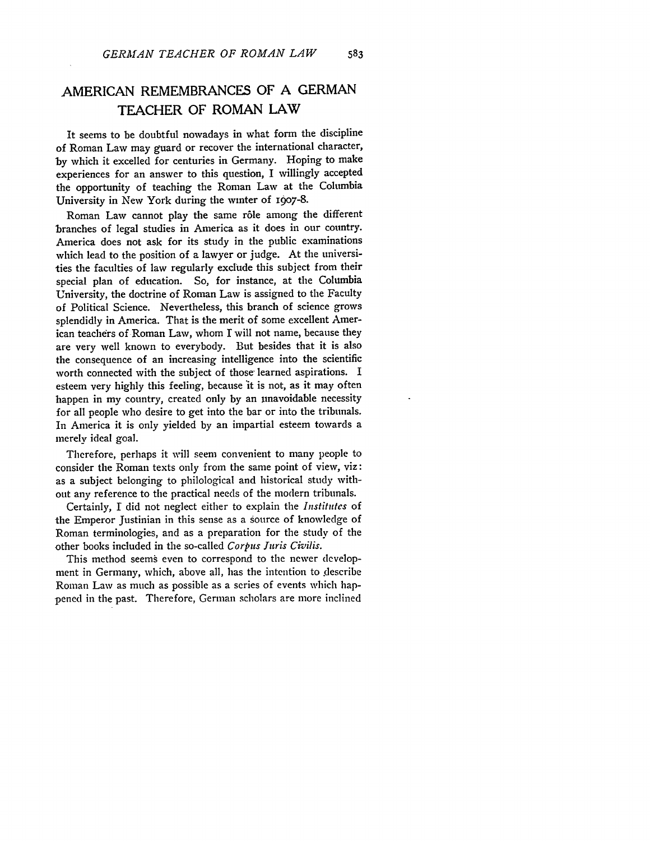## **AMERICAN** REMEMBRANCES OF **A GERMAN** TEACHER OF ROMAN LAW

It seems to be doubtful nowadays in what form the discipline of Roman Law may guard or recover the international character, by which it excelled for centuries in Germany. Hoping to make experiences for an answer to this question, I willingly accepted the opportunity of teaching the Roman Law at the Columbia University in New York during the winter of 1907-8.

Roman Law cannot play the same rôle among the different branches of legal studies in America as it does in our country. America does not ask for its study in the public examinations which lead to the position of a lawyer or judge. At the universities the faculties of law regularly exclude this subject from their special plan of education. So, for instance, at the Columbia University, the doctrine of Roman Law is assigned to the Faculty of Political Science. Nevertheless, this branch of science grows splendidly in America. That is the merit of some excellent American teachers of Roman Law, whom **I** will not name, because they are very well known to everybody. But besides that it is also the consequence of an increasing intelligence into the scientific worth connected with the subject of those learned aspirations. I esteem very highly this feeling, because it is not, as it may often happen in my country, created only by an unavoidable necessity for all people who desire to get into the bar or into the tribunals. In America it is only yielded by an impartial esteem towards a merely ideal goal.

Therefore, perhaps it will seem convenient to many people to consider the Roman texts only from the same point of view, viz: as a subject belonging to philological and historical study without any reference to the practical needs of the modern tribunals.

Certainly, I did not neglect either to explain the *Institutes* of the Emperor Justinian in this sense as a source of knowledge of Roman terminologies, and as a preparation for the study of the other books included in the so-called *Corpus furis Civilis.*

This method seems even to correspond to the newer development in Germany, which, above all, has the intention to describe Roman Law as much as possible as a series of events which happened in the past. Therefore, German scholars are more inclined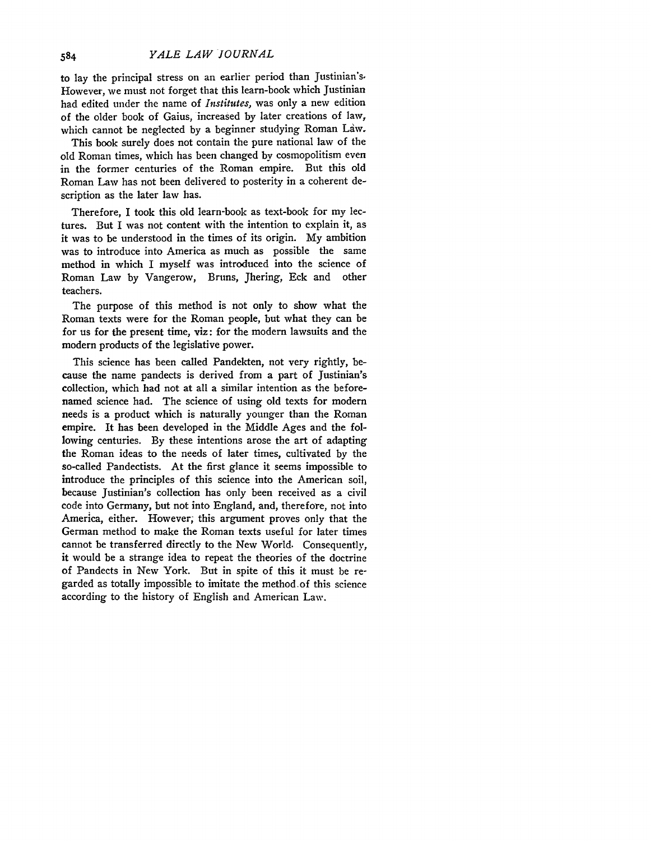*YALE LAW JOURNAL*

to lay the principal stress on an earlier period than Justinian's. However, we must not forget that this learn-book which Justinian had edited under the name of *Institutes,* was only a new edition of the older book of Gaius, increased **by** later creations of law, which cannot be neglected **by** a beginner studying Roman Law.

This book surely does not contain the pure national law of the old Roman times, which has been changed by cosmopolitism even in the former centuries of the Roman empire. But this old Roman Law has not been delivered to posterity in a coherent description as the later law has.

Therefore, I took this old learn-book as text-book for **my** lectures. But I was not content with the intention to explain it, as it was to be understood in the times of its origin. **My** ambition was to introduce into America as much as possible the same method in which I myself was introduced into the science of Roman Law **by** Vangerow, Bruns, Jhering, Eck and other teachers.

The purpose of this method is not only to show what the Roman texts were for the Roman people, but what they can be for us for the present time, viz: for the modern lawsuits and the modern products of the legislative power.

This science has been called Pandekten, not very rightly, because the name pandects is derived from a part of Justinian's collection, which had not at all a similar intention as the beforenamed science had. The science of using old texts for modem needs is a product which is naturally younger than the Roman empire. It has been developed in the Middle Ages and the following centuries. **By** these intentions arose the art of adapting the Roman ideas to the needs of later times, cultivated **by** the so-called Pandectists. At the first glance it seems impossible to introduce the principles of this science into the American soil, because Justinian's collection has only been received as a civil code into Germany, but not into England, and, therefore, not into America, either. However; this argument proves only that the German method to make the Roman texts useful for later times cannot be transferred directly to the New World. Consequently, it would be a strange idea to repeat the theories of the doctrine of Pandects in New York. But in spite of this it must be regarded as totally impossible to imitate the method.of this science according to the history of English and American Law.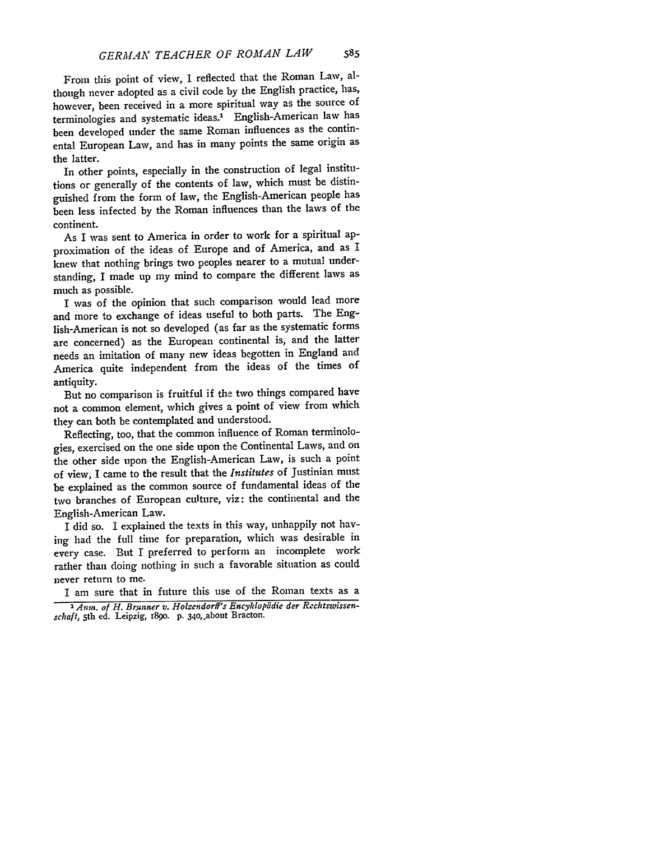From this point of view, **I** reflected that the Roman Law, although never adopted as a civil code by the English practice, has, however, been received in a more spiritual way as the source of terminologies and systematic ideas.' English-American law has been developed under the same Roman influences as the continental European Law, and has in many points the same origin as the latter.

In other points, especially in the construction of legal institutions or generally of the contents of law, which must be distinguished from the form of law, the English-American people has been less infected by the Roman influences than the laws of the continent.

As I was sent to America in order to work for a spiritual approximation of the ideas of Europe and of America, and as I knew that nothing brings two peoples nearer to a mutual understanding, I made up my mind to compare the different laws as much as possible.

I was of the opinion that such comparison would lead more and more to exchange of ideas useful to both parts. The English-American is not so developed (as far as the systematic forms are concerned) as the European continental is, and the latter needs an imitation of many new ideas begotten in England and America quite independent from the ideas of the times of antiquity.

But no comparison is fruitful if the two things compared have not a common element, which gives a point of view from which they can both be contemplated and understood.

Reflecting, too, that the common influence of Roman terminologies, exercised on the one side upon the Continental Laws, and on the other side upon the English-American Law, is such a point of view, I came to the result that the *Institutes* of Justinian must be explained as the common source of fundamental ideas of the two branches of European culture, viz: the continental and the English-American Law.

I did so. I explained the texts in this way, unhappily not having had the full time for preparation, which was desirable in every case. But I preferred to perform an incomplete work rather than doing nothing in such a favorable situation as could never return to me.

I am sure that in future this use of the Roman texts as a

*I Aimn. of H. Brunner v. Holzendorif's Encyklopdidie der Rechtswissenschaft,* 5th **ed.** Leipzig, i8go. p. 34o,.about Bracton.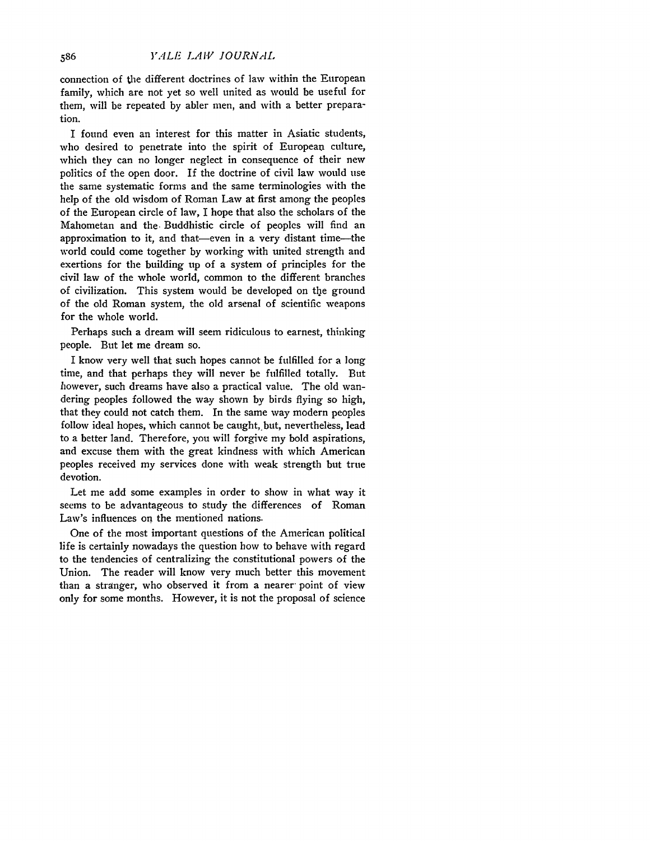connection of the different doctrines of law within the European family, which are not yet so well united as would be useful for them, will be repeated by abler men, and with a better preparation.

I found even an interest for this matter in Asiatic students, who desired to penetrate into the spirit of European culture, which they can no longer neglect in consequence of their new politics of the open door. If the doctrine of civil law would use the same systematic forms and the same terminologies with the help of the old wisdom of Roman Law at first among the peoples of the European circle of law, I hope that also the scholars of the Mahometan and the. Buddhistic circle of peoples will find an approximation to it, and that—even in a very distant time—the world could come together by working with united strength and exertions for the building **tip** of a system of principles for the civil law of the whole world, common to the different branches of civilization. This system would be developed on the ground of the old Roman system, the old arsenal of scientific weapons for the whole world.

Perhaps such a dream will seem ridiculous to earnest, thinking people. But let me dream so.

I know very well that such hopes cannot be fulfilled for a long time, and that perhaps they will never be fulfilled totally. But however, such dreams have also a practical value. The old wandering peoples followed the way shown by birds flying so high, that they could not catch them. In the same way modern peoples follow ideal hopes, which cannot be caught, but, nevertheless, lead to a better land. Therefore, you will forgive my bold aspirations, and excuse them with the great kindness with which American peoples received my services done with weak strength but true devotion.

Let me add some examples in order to show in what way it seems to be advantageous to study the differences of Roman Law's influences on the mentioned nations.

One of the most important questions of the American political life is certainly nowadays the question how to behave with regard to the tendencies of centralizing the constitutional powers of the Union. The reader will know very much better this movement than a stranger, who observed it from a nearer point of view only for some months. However, it is not the proposal of science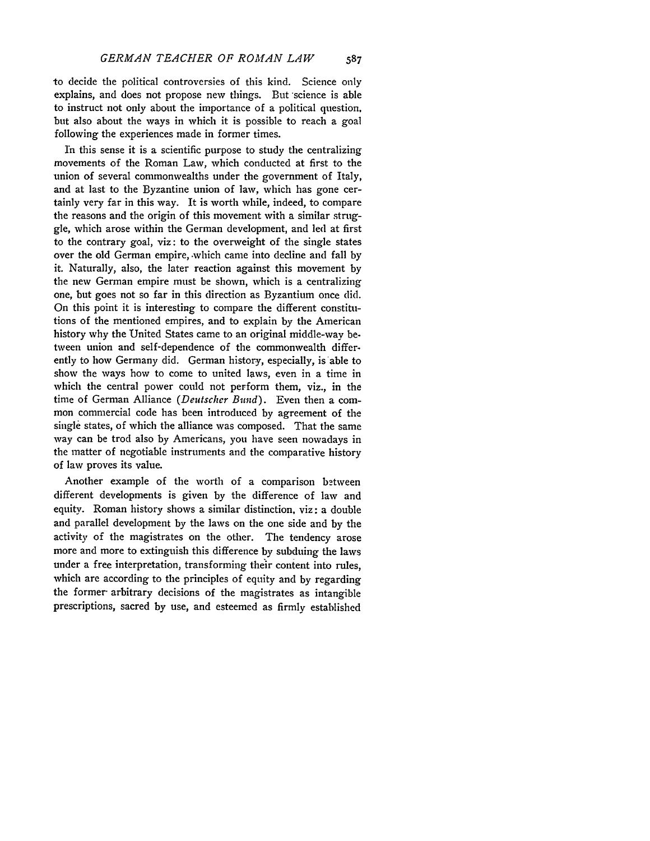to decide the political controversies of this kind. Science only explains, and does not propose new things. But science is able to instruct not only about the importance of a political question, but also about the ways in which it is possible to reach a goal following the experiences made in former times.

In this sense it is a scientific purpose to study the centralizing movements of the Roman Law, which conducted at first to the union of several commonwealths under the government of Italy, and at last to the Byzantine union of law, which has gone certainly very far in this way. It is worth while, indeed, to compare the reasons and the origin of this movement with a similar struggle, which arose within the German development, and led at first to the contrary goal, viz: to the overweight of the single states over the old German empire, .which came into decline and fall **by** it. Naturally, also, the later reaction against this movement **by** the new German empire must be shown, which is a centralizing one, but goes not so far in this direction as Byzantium once did. On this point it is interesting to compare the different constitutions of the mentioned empires, and to explain **by** the American history why the United States came to an original middle-way between union and self-dependence of the commonwealth differ. ently to how Germany did. German history, especially, is able to show the ways how to come to united laws, even in a time in which the central power could not perform them, viz., in the time of German Alliance *(Deutscher Bund).* Even then a common commercial code has been introduced **by** agreement of the single states, of which the alliance was composed. That the same way can be trod also **by** Americans, you have seen nowadays in the matter of negotiable instruments and the comparative history of law proves its value.

Another example of the worth of a comparison between different developments is given **by** the difference of law and equity. Roman history shows a similar distinction, viz: a double and parallel development **by** the laws on the one side and **by** the activity of the magistrates on the other. The tendency arose more and more to extinguish this difference **by** subduing the laws under a free interpretation, transforming their content into rules, which are according to the principles of equity and **by** regarding the former- arbitrary decisions of the magistrates as intangible prescriptions, sacred **by** use, and esteemed as firmly established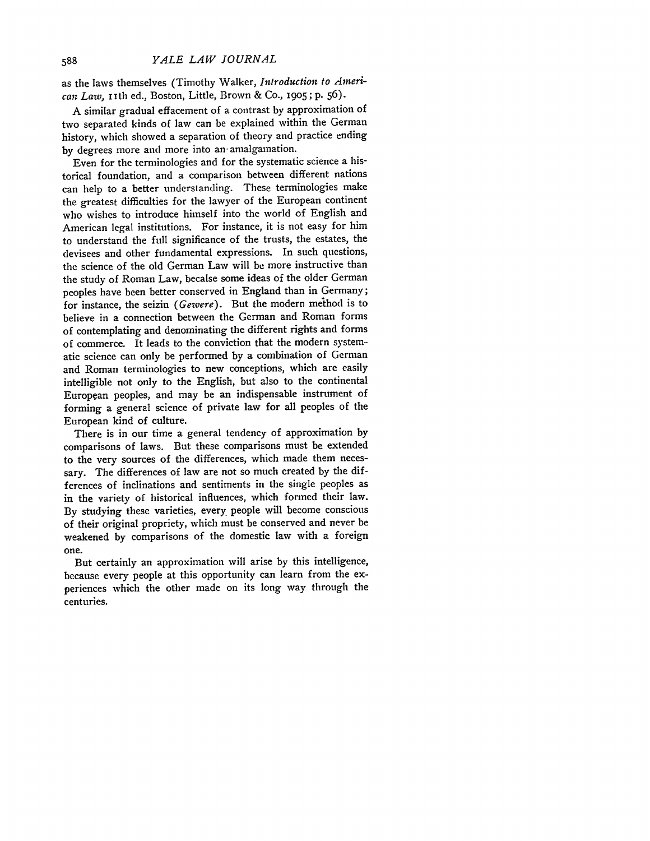as the laws themselves (Timothy Walker, *Introduction to American Law,* iith ed., Boston, Little, Brown & Co., **1905 ;** p. 56).

A similar gradual effacement of a contrast by approximation of two separated kinds of law can be explained within the German history, which showed a separation of theory and practice ending by degrees more and more into an- amalgamation.

Even for the terminologies and for the systematic science a historical foundation, and a comparison between different nations can help to a better understanding. These terminologies make the greatest difficulties for the lawyer of the European continent who wishes to introduce himself into the world of English and American legal institutions. For instance, it is not easy for him to understand the full significance of the trusts, the estates, the devisees and other fundamental expressions. In such questions, the science of the old German Law will be more instructive than the study of Roman Law, becalse some ideas of the older German peoples have been better conserved in England than in Germany; for instance, the seizin *(Gewere).* But the modern method is to believe in a connection between the German and Roman forms of contemplating and denominating the different rights and forms of commerce. It leads to the conviction that the modern systematic science can only be performed by a combination of German and Roman terminologies to new conceptions, which are easily intelligible not only to the English, but also to the continental European peoples, and may be an indispensable instrument of forming a general science of private law for all peoples of the European kind of culture.

There is in our time a general tendency of approximation by comparisons of laws. But these comparisons must be extended to the very sources of the differences, which made them necessary. The differences of law are not so much created by the differences of inclinations and sentiments in the single peoples as in the variety of historical influences, which formed their law. By studying these varieties, every people will become conscious of their original propriety, which must be conserved and never be weakened **by** comparisons of the domestic law with a foreign one.

But certainly an approximation will arise by this intelligence, because every people at this opportunity can learn from the experiences which the other made on its long way through the centuries.